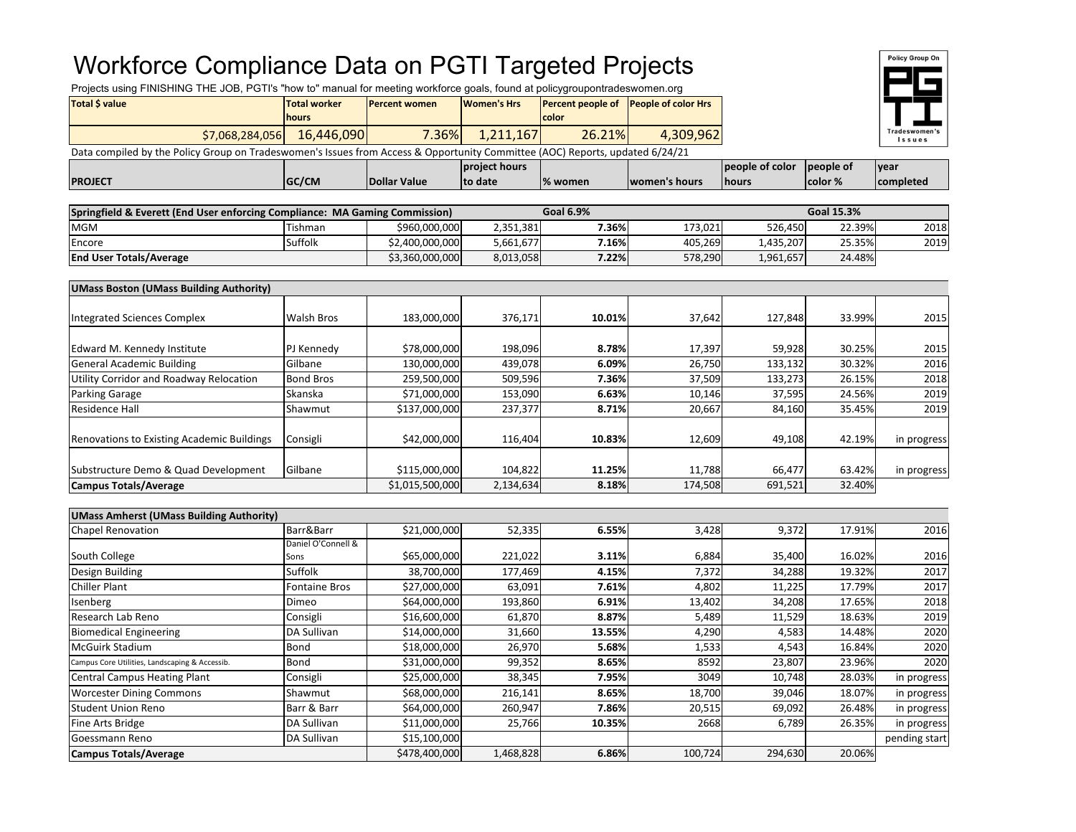## Workforce Compliance Data on PGTI Targeted Projects

Projects using FINISHING THE JOB, PGTI's "how to" manual for meeting workforce goals, found at policygroupontradeswomen.org

| Total S value                                                                                                                | <b>Total worker</b><br><b>Percent women</b> |          | Women's Hrs |        | <b>Percent people of People of color Hrs</b> |              |  |  |  |  |
|------------------------------------------------------------------------------------------------------------------------------|---------------------------------------------|----------|-------------|--------|----------------------------------------------|--------------|--|--|--|--|
|                                                                                                                              | <b>I</b> hours                              |          |             | color  |                                              |              |  |  |  |  |
| \$7,068,284,056                                                                                                              | 16,446,090                                  | $7.36\%$ | 1.211.167   | 26.21% | 4.309.962                                    |              |  |  |  |  |
| Data compiled by the Policy Group on Tradeswomen's Issues from Access & Opportunity Committee (AOC) Reports, updated 6/24/21 |                                             |          |             |        |                                              |              |  |  |  |  |
|                                                                                                                              |                                             |          | . <b>.</b>  |        |                                              | $\sim$ $  -$ |  |  |  |  |



|                |       |                                    | <b>project hours</b> |          |               | people of color | people of      | <b>vear</b>       |
|----------------|-------|------------------------------------|----------------------|----------|---------------|-----------------|----------------|-------------------|
| <b>PROJECT</b> | GC/CM | <b>Nar Value</b><br><b>IDollar</b> | , date<br>to         | 1% women | women's hours | <b>Ihours</b>   | <b>color</b> % | <b>Icompleted</b> |
|                |       |                                    |                      |          |               |                 |                |                   |

| Springfield & Everett (End User enforcing Compliance: MA Gaming Commission) |         |                 | Goal 6.9% |       |         | <b>Goal 15.3%</b> |        |      |
|-----------------------------------------------------------------------------|---------|-----------------|-----------|-------|---------|-------------------|--------|------|
| <b>MGM</b>                                                                  | Tishman | \$960,000,000   | 2,351,381 | 7.36% | 173.021 | 526.450           | 22.39% | 2018 |
| Encore                                                                      | Suffolk | \$2,400,000,000 | 5,661,677 | 7.16% | 405.269 | 1,435,207         | 25.35% | 2019 |
| <b>End User Totals/Average</b>                                              |         | \$3,360,000,000 | 8,013,058 | 7.22% | 578,290 | 1,961,657         | 24.48% |      |

| <b>UMass Boston (UMass Building Authority)</b> |                   |                 |           |        |         |         |        |             |
|------------------------------------------------|-------------------|-----------------|-----------|--------|---------|---------|--------|-------------|
|                                                |                   |                 |           |        |         |         |        |             |
| <b>Integrated Sciences Complex</b>             | <b>Walsh Bros</b> | 183,000,000     | 376,171   | 10.01% | 37,642  | 127,848 | 33.99% | 2015        |
|                                                |                   |                 |           |        |         |         |        |             |
| Edward M. Kennedy Institute                    | PJ Kennedy        | \$78,000,000    | 198,096   | 8.78%  | 17,397  | 59,928  | 30.25% | 2015        |
| General Academic Building                      | Gilbane           | 130,000,000     | 439,078   | 6.09%  | 26,750  | 133,132 | 30.32% | 2016        |
| Utility Corridor and Roadway Relocation        | <b>Bond Bros</b>  | 259,500,000     | 509,596   | 7.36%  | 37,509  | 133,273 | 26.15% | 2018        |
| <b>Parking Garage</b>                          | Skanska           | \$71,000,000    | 153,090   | 6.63%  | 10,146  | 37,595  | 24.56% | 2019        |
| Residence Hall                                 | <b>Shawmut</b>    | \$137,000,000   | 237,377   | 8.71%  | 20,667  | 84,160  | 35.45% | 2019        |
| Renovations to Existing Academic Buildings     | Consigli          | \$42,000,000    | 116,404   | 10.83% | 12,609  | 49,108  | 42.19% |             |
|                                                |                   |                 |           |        |         |         |        | in progress |
|                                                |                   |                 |           |        |         |         |        |             |
| Substructure Demo & Quad Development           | Gilbane           | \$115,000,000   | 104,822   | 11.25% | 11,788  | 66,477  | 63.42% | in progress |
| <b>Campus Totals/Average</b>                   |                   | \$1,015,500,000 | 2,134,634 | 8.18%  | 174,508 | 691,521 | 32.40% |             |

| <b>UMass Amherst (UMass Building Authority)</b> |                      |               |           |        |         |         |        |               |
|-------------------------------------------------|----------------------|---------------|-----------|--------|---------|---------|--------|---------------|
| <b>Chapel Renovation</b>                        | Barr&Barr            | \$21,000,000  | 52,335    | 6.55%  | 3,428   | 9,372   | 17.91% | 2016          |
|                                                 | Daniel O'Connell &   |               |           |        |         |         |        |               |
| South College                                   | Sons                 | \$65,000,000  | 221,022   | 3.11%  | 6,884   | 35,400  | 16.02% | 2016          |
| Design Building                                 | Suffolk              | 38,700,000    | 177,469   | 4.15%  | 7,372   | 34,288  | 19.32% | 2017          |
| <b>Chiller Plant</b>                            | <b>Fontaine Bros</b> | \$27,000,000  | 63,091    | 7.61%  | 4,802   | 11,225  | 17.79% | 2017          |
| Isenberg                                        | Dimeo                | \$64,000,000  | 193,860   | 6.91%  | 13,402  | 34,208  | 17.65% | 2018          |
| Research Lab Reno                               | Consigli             | \$16,600,000  | 61,870    | 8.87%  | 5,489   | 11,529  | 18.63% | 2019          |
| Biomedical Engineering                          | DA Sullivan          | \$14,000,000  | 31,660    | 13.55% | 4,290   | 4,583   | 14.48% | 2020          |
| <b>McGuirk Stadium</b>                          | Bond                 | \$18,000,000  | 26,970    | 5.68%  | 1,533   | 4,543   | 16.84% | 2020          |
| Campus Core Utilities, Landscaping & Accessib.  | Bond                 | \$31,000,000  | 99,352    | 8.65%  | 8592    | 23,807  | 23.96% | 2020          |
| <b>Central Campus Heating Plant</b>             | Consigli             | \$25,000,000  | 38,345    | 7.95%  | 3049    | 10,748  | 28.03% | in progress   |
| <b>Worcester Dining Commons</b>                 | Shawmut              | \$68,000,000  | 216,141   | 8.65%  | 18,700  | 39,046  | 18.07% | in progress   |
| <b>Student Union Reno</b>                       | Barr & Barr          | \$64,000,000  | 260,947   | 7.86%  | 20,515  | 69,092  | 26.48% | in progress   |
| <b>Fine Arts Bridge</b>                         | DA Sullivan          | \$11,000,000  | 25,766    | 10.35% | 2668    | 6,789   | 26.35% | in progress   |
| Goessmann Reno                                  | DA Sullivan          | \$15,100,000  |           |        |         |         |        | pending start |
| <b>Campus Totals/Average</b>                    |                      | \$478,400,000 | 1,468,828 | 6.86%  | 100,724 | 294,630 | 20.06% |               |